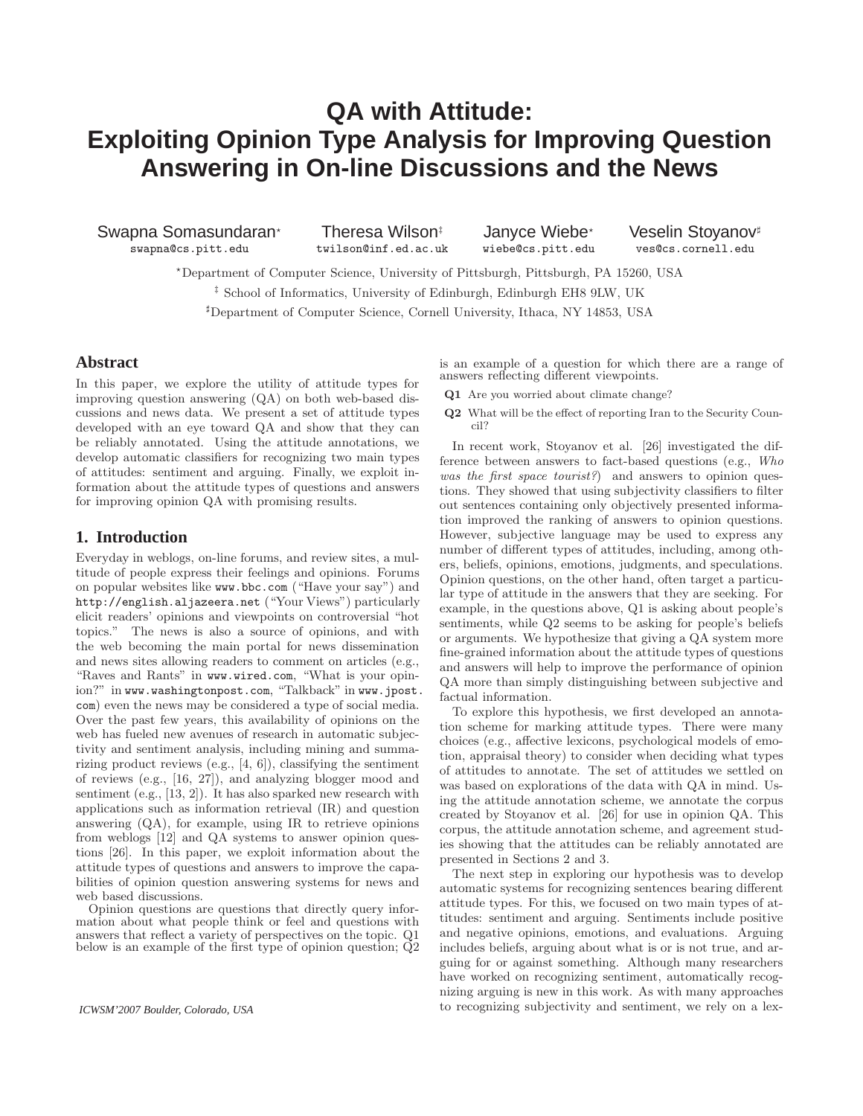# **QA with Attitude: Exploiting Opinion Type Analysis for Improving Question Answering in On-line Discussions and the News**

Swapna Somasundaran∗ Theresa Wilson‡ Janyce Wiebe∗ Veselin Stoyanov♯<br>swapna@cs.pitt.edu twilson@inf.ed.ac.uk wiebe@cs.pitt.edu ves@cs.cornell.edu swapna@cs.pitt.edu twilson@inf.ed.ac.uk

<sup>⋆</sup>Department of Computer Science, University of Pittsburgh, Pittsburgh, PA 15260, USA ‡ School of Informatics, University of Edinburgh, Edinburgh EH8 9LW, UK <sup>♯</sup>Department of Computer Science, Cornell University, Ithaca, NY 14853, USA

# **Abstract**

In this paper, we explore the utility of attitude types for improving question answering (QA) on both web-based discussions and news data. We present a set of attitude types developed with an eye toward QA and show that they can be reliably annotated. Using the attitude annotations, we develop automatic classifiers for recognizing two main types of attitudes: sentiment and arguing. Finally, we exploit information about the attitude types of questions and answers for improving opinion QA with promising results.

# **1. Introduction**

Everyday in weblogs, on-line forums, and review sites, a multitude of people express their feelings and opinions. Forums on popular websites like www.bbc.com ("Have your say") and http://english.aljazeera.net ("Your Views") particularly elicit readers' opinions and viewpoints on controversial "hot topics." The news is also a source of opinions, and with the web becoming the main portal for news dissemination and news sites allowing readers to comment on articles (e.g., "Raves and Rants" in www.wired.com, "What is your opinion?" in www.washingtonpost.com, "Talkback" in www.jpost. com) even the news may be considered a type of social media. Over the past few years, this availability of opinions on the web has fueled new avenues of research in automatic subjectivity and sentiment analysis, including mining and summarizing product reviews (e.g., [4, 6]), classifying the sentiment of reviews (e.g., [16, 27]), and analyzing blogger mood and sentiment (e.g., [13, 2]). It has also sparked new research with applications such as information retrieval (IR) and question answering (QA), for example, using IR to retrieve opinions from weblogs [12] and QA systems to answer opinion questions [26]. In this paper, we exploit information about the attitude types of questions and answers to improve the capabilities of opinion question answering systems for news and web based discussions.

Opinion questions are questions that directly query information about what people think or feel and questions with answers that reflect a variety of perspectives on the topic. Q1 below is an example of the first type of opinion question; Q2 is an example of a question for which there are a range of answers reflecting different viewpoints.

- Q1 Are you worried about climate change?
- Q2 What will be the effect of reporting Iran to the Security Council?

In recent work, Stoyanov et al. [26] investigated the difference between answers to fact-based questions (e.g., Who was the first space tourist?) and answers to opinion questions. They showed that using subjectivity classifiers to filter out sentences containing only objectively presented information improved the ranking of answers to opinion questions. However, subjective language may be used to express any number of different types of attitudes, including, among others, beliefs, opinions, emotions, judgments, and speculations. Opinion questions, on the other hand, often target a particular type of attitude in the answers that they are seeking. For example, in the questions above, Q1 is asking about people's sentiments, while Q2 seems to be asking for people's beliefs or arguments. We hypothesize that giving a QA system more fine-grained information about the attitude types of questions and answers will help to improve the performance of opinion QA more than simply distinguishing between subjective and factual information.

To explore this hypothesis, we first developed an annotation scheme for marking attitude types. There were many choices (e.g., affective lexicons, psychological models of emotion, appraisal theory) to consider when deciding what types of attitudes to annotate. The set of attitudes we settled on was based on explorations of the data with QA in mind. Using the attitude annotation scheme, we annotate the corpus created by Stoyanov et al. [26] for use in opinion QA. This corpus, the attitude annotation scheme, and agreement studies showing that the attitudes can be reliably annotated are presented in Sections 2 and 3.

The next step in exploring our hypothesis was to develop automatic systems for recognizing sentences bearing different attitude types. For this, we focused on two main types of attitudes: sentiment and arguing. Sentiments include positive and negative opinions, emotions, and evaluations. Arguing includes beliefs, arguing about what is or is not true, and arguing for or against something. Although many researchers have worked on recognizing sentiment, automatically recognizing arguing is new in this work. As with many approaches to recognizing subjectivity and sentiment, we rely on a lex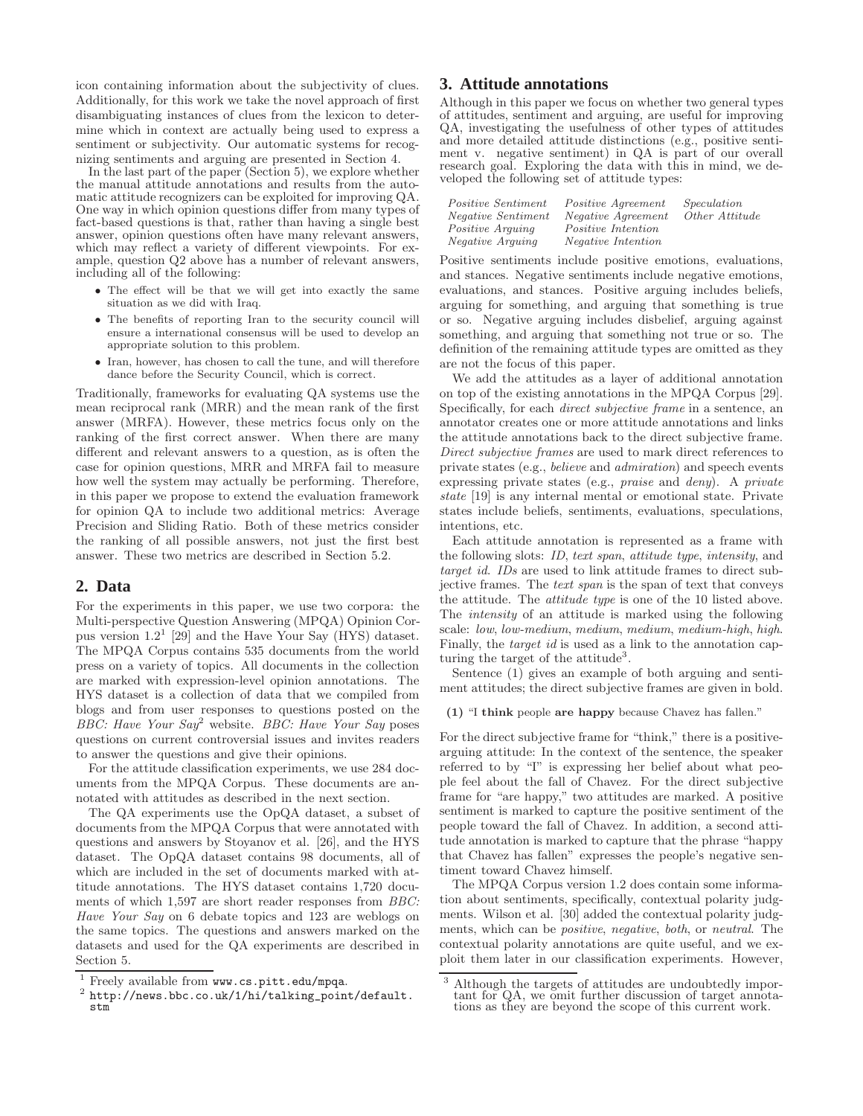icon containing information about the subjectivity of clues. Additionally, for this work we take the novel approach of first disambiguating instances of clues from the lexicon to determine which in context are actually being used to express a sentiment or subjectivity. Our automatic systems for recognizing sentiments and arguing are presented in Section 4.

In the last part of the paper (Section 5), we explore whether the manual attitude annotations and results from the automatic attitude recognizers can be exploited for improving QA. One way in which opinion questions differ from many types of fact-based questions is that, rather than having a single best answer, opinion questions often have many relevant answers, which may reflect a variety of different viewpoints. For example, question Q2 above has a number of relevant answers, including all of the following:

- The effect will be that we will get into exactly the same situation as we did with Iraq.
- The benefits of reporting Iran to the security council will ensure a international consensus will be used to develop an appropriate solution to this problem.
- Iran, however, has chosen to call the tune, and will therefore dance before the Security Council, which is correct.

Traditionally, frameworks for evaluating QA systems use the mean reciprocal rank (MRR) and the mean rank of the first answer (MRFA). However, these metrics focus only on the ranking of the first correct answer. When there are many different and relevant answers to a question, as is often the case for opinion questions, MRR and MRFA fail to measure how well the system may actually be performing. Therefore, in this paper we propose to extend the evaluation framework for opinion QA to include two additional metrics: Average Precision and Sliding Ratio. Both of these metrics consider the ranking of all possible answers, not just the first best answer. These two metrics are described in Section 5.2.

# **2. Data**

For the experiments in this paper, we use two corpora: the Multi-perspective Question Answering (MPQA) Opinion Corpus version  $1.2^1$  [29] and the Have Your Say (HYS) dataset. The MPQA Corpus contains 535 documents from the world press on a variety of topics. All documents in the collection are marked with expression-level opinion annotations. The HYS dataset is a collection of data that we compiled from blogs and from user responses to questions posted on the BBC: Have Your  $Say^2$  website. BBC: Have Your Say poses questions on current controversial issues and invites readers to answer the questions and give their opinions.

For the attitude classification experiments, we use 284 documents from the MPQA Corpus. These documents are annotated with attitudes as described in the next section.

The QA experiments use the OpQA dataset, a subset of documents from the MPQA Corpus that were annotated with questions and answers by Stoyanov et al. [26], and the HYS dataset. The OpQA dataset contains 98 documents, all of which are included in the set of documents marked with attitude annotations. The HYS dataset contains 1,720 documents of which 1,597 are short reader responses from BBC: Have Your Say on 6 debate topics and 123 are weblogs on the same topics. The questions and answers marked on the datasets and used for the QA experiments are described in Section 5.

# **3. Attitude annotations**

Although in this paper we focus on whether two general types of attitudes, sentiment and arguing, are useful for improving QA, investigating the usefulness of other types of attitudes and more detailed attitude distinctions (e.g., positive sentiment v. negative sentiment) in QA is part of our overall research goal. Exploring the data with this in mind, we developed the following set of attitude types:

| <i>Positive Sentiment</i> | <i>Positive Agreement</i> | Speculation    |
|---------------------------|---------------------------|----------------|
| <i>Negative Sentiment</i> | Negative Agreement        | Other Attitude |
| <i>Positive Arquing</i>   | <i>Positive Intention</i> |                |
| <i>Negative Arguing</i>   | <i>Negative Intention</i> |                |

Positive sentiments include positive emotions, evaluations, and stances. Negative sentiments include negative emotions, evaluations, and stances. Positive arguing includes beliefs, arguing for something, and arguing that something is true or so. Negative arguing includes disbelief, arguing against something, and arguing that something not true or so. The definition of the remaining attitude types are omitted as they are not the focus of this paper.

We add the attitudes as a layer of additional annotation on top of the existing annotations in the MPQA Corpus [29]. Specifically, for each direct subjective frame in a sentence, an annotator creates one or more attitude annotations and links the attitude annotations back to the direct subjective frame. Direct subjective frames are used to mark direct references to private states (e.g., believe and admiration) and speech events expressing private states (e.g., praise and deny). A private state [19] is any internal mental or emotional state. Private states include beliefs, sentiments, evaluations, speculations, intentions, etc.

Each attitude annotation is represented as a frame with the following slots: ID, text span, attitude type, intensity, and target id. IDs are used to link attitude frames to direct subjective frames. The text span is the span of text that conveys the attitude. The attitude type is one of the 10 listed above. The intensity of an attitude is marked using the following scale: low, low-medium, medium, medium, medium-high, high. Finally, the *target id* is used as a link to the annotation capturing the target of the attitude<sup>3</sup>.

Sentence (1) gives an example of both arguing and sentiment attitudes; the direct subjective frames are given in bold.

(1) "I think people are happy because Chavez has fallen."

For the direct subjective frame for "think," there is a positivearguing attitude: In the context of the sentence, the speaker referred to by "I" is expressing her belief about what people feel about the fall of Chavez. For the direct subjective frame for "are happy," two attitudes are marked. A positive sentiment is marked to capture the positive sentiment of the people toward the fall of Chavez. In addition, a second attitude annotation is marked to capture that the phrase "happy that Chavez has fallen" expresses the people's negative sentiment toward Chavez himself.

The MPQA Corpus version 1.2 does contain some information about sentiments, specifically, contextual polarity judgments. Wilson et al. [30] added the contextual polarity judgments, which can be positive, negative, both, or neutral. The contextual polarity annotations are quite useful, and we exploit them later in our classification experiments. However,

<sup>1</sup> Freely available from www.cs.pitt.edu/mpqa.

<sup>2</sup> http://news.bbc.co.uk/1/hi/talking\_point/default. stm

Although the targets of attitudes are undoubtedly important for QA, we omit further discussion of target annotations as they are beyond the scope of this current work.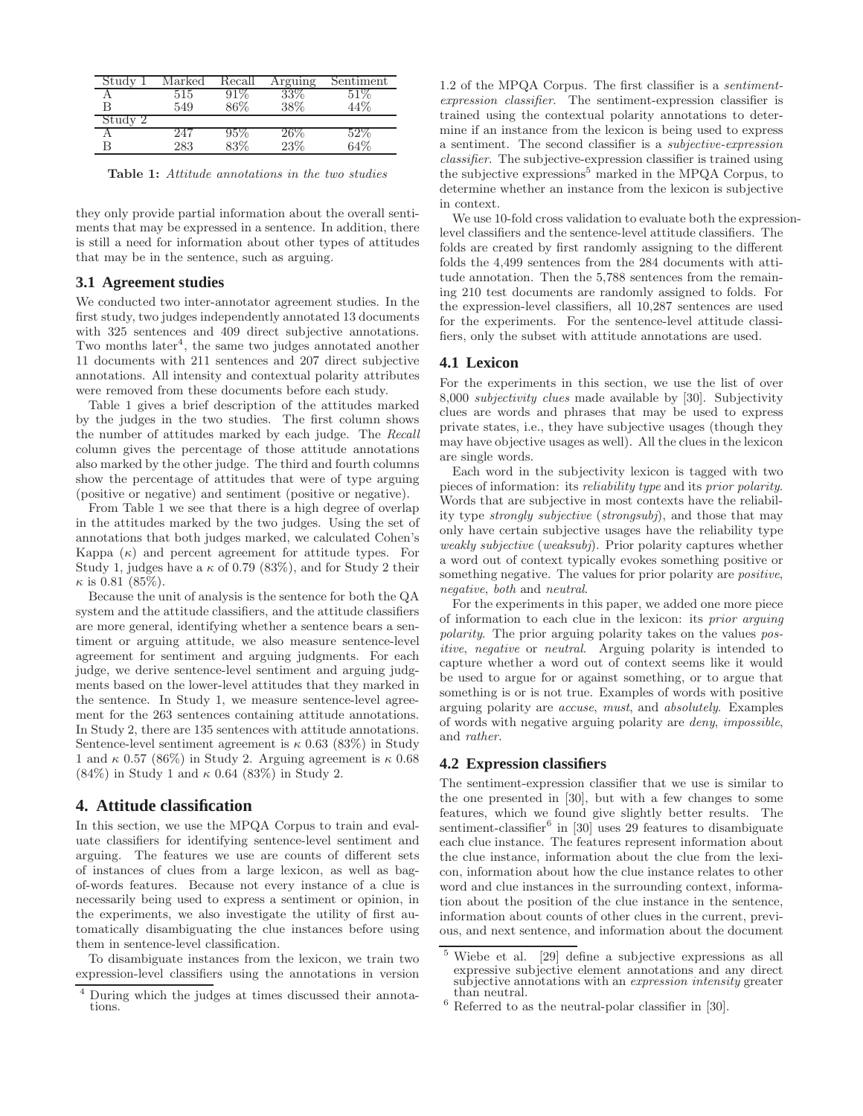| Study | Marked | Recall | Arguing | Sentiment |
|-------|--------|--------|---------|-----------|
|       | 515    |        | $33\%$  |           |
|       | 549    | 36%    | 38%     | 14%       |
| Study |        |        |         |           |
|       | 247    | ,5%    | $26\%$  |           |
|       | 283    | 20     | 23%     | 54%       |

Table 1: Attitude annotations in the two studies

they only provide partial information about the overall sentiments that may be expressed in a sentence. In addition, there is still a need for information about other types of attitudes that may be in the sentence, such as arguing.

# **3.1 Agreement studies**

We conducted two inter-annotator agreement studies. In the first study, two judges independently annotated 13 documents with 325 sentences and 409 direct subjective annotations. Two months later<sup>4</sup>, the same two judges annotated another 11 documents with 211 sentences and 207 direct subjective annotations. All intensity and contextual polarity attributes were removed from these documents before each study.

Table 1 gives a brief description of the attitudes marked by the judges in the two studies. The first column shows the number of attitudes marked by each judge. The Recall column gives the percentage of those attitude annotations also marked by the other judge. The third and fourth columns show the percentage of attitudes that were of type arguing (positive or negative) and sentiment (positive or negative).

From Table 1 we see that there is a high degree of overlap in the attitudes marked by the two judges. Using the set of annotations that both judges marked, we calculated Cohen's Kappa  $(\kappa)$  and percent agreement for attitude types. For Study 1, judges have a  $\kappa$  of 0.79 (83%), and for Study 2 their  $\kappa$  is 0.81 (85%).

Because the unit of analysis is the sentence for both the QA system and the attitude classifiers, and the attitude classifiers are more general, identifying whether a sentence bears a sentiment or arguing attitude, we also measure sentence-level agreement for sentiment and arguing judgments. For each judge, we derive sentence-level sentiment and arguing judgments based on the lower-level attitudes that they marked in the sentence. In Study 1, we measure sentence-level agreement for the 263 sentences containing attitude annotations. In Study 2, there are 135 sentences with attitude annotations. Sentence-level sentiment agreement is  $\kappa$  0.63 (83%) in Study 1 and  $\kappa$  0.57 (86%) in Study 2. Arguing agreement is  $\kappa$  0.68 (84%) in Study 1 and  $\kappa$  0.64 (83%) in Study 2.

# **4. Attitude classification**

In this section, we use the MPQA Corpus to train and evaluate classifiers for identifying sentence-level sentiment and arguing. The features we use are counts of different sets of instances of clues from a large lexicon, as well as bagof-words features. Because not every instance of a clue is necessarily being used to express a sentiment or opinion, in the experiments, we also investigate the utility of first automatically disambiguating the clue instances before using them in sentence-level classification.

To disambiguate instances from the lexicon, we train two expression-level classifiers using the annotations in version

1.2 of the MPQA Corpus. The first classifier is a sentimentexpression classifier. The sentiment-expression classifier is trained using the contextual polarity annotations to determine if an instance from the lexicon is being used to express a sentiment. The second classifier is a subjective-expression classifier. The subjective-expression classifier is trained using the subjective expressions<sup>5</sup> marked in the MPQA Corpus, to determine whether an instance from the lexicon is subjective in context.

We use 10-fold cross validation to evaluate both the expressionlevel classifiers and the sentence-level attitude classifiers. The folds are created by first randomly assigning to the different folds the 4,499 sentences from the 284 documents with attitude annotation. Then the 5,788 sentences from the remaining 210 test documents are randomly assigned to folds. For the expression-level classifiers, all 10,287 sentences are used for the experiments. For the sentence-level attitude classifiers, only the subset with attitude annotations are used.

#### **4.1 Lexicon**

For the experiments in this section, we use the list of over 8,000 subjectivity clues made available by [30]. Subjectivity clues are words and phrases that may be used to express private states, i.e., they have subjective usages (though they may have objective usages as well). All the clues in the lexicon are single words.

Each word in the subjectivity lexicon is tagged with two pieces of information: its reliability type and its prior polarity. Words that are subjective in most contexts have the reliability type strongly subjective (strongsubj), and those that may only have certain subjective usages have the reliability type weakly subjective (weaksubj). Prior polarity captures whether a word out of context typically evokes something positive or something negative. The values for prior polarity are positive, negative, both and neutral.

For the experiments in this paper, we added one more piece of information to each clue in the lexicon: its prior arguing polarity. The prior arguing polarity takes on the values positive, negative or neutral. Arguing polarity is intended to capture whether a word out of context seems like it would be used to argue for or against something, or to argue that something is or is not true. Examples of words with positive arguing polarity are accuse, must, and absolutely. Examples of words with negative arguing polarity are deny, impossible, and rather.

# **4.2 Expression classifiers**

The sentiment-expression classifier that we use is similar to the one presented in [30], but with a few changes to some features, which we found give slightly better results. The sentiment-classifier<sup>6</sup> in [30] uses 29 features to disambiguate each clue instance. The features represent information about the clue instance, information about the clue from the lexicon, information about how the clue instance relates to other word and clue instances in the surrounding context, information about the position of the clue instance in the sentence, information about counts of other clues in the current, previous, and next sentence, and information about the document

<sup>4</sup> During which the judges at times discussed their annotations.

<sup>5</sup> Wiebe et al. [29] define a subjective expressions as all expressive subjective element annotations and any direct subjective annotations with an *expression intensity* greater than neutral.

 $^6$  Referred to as the neutral-polar classifier in [30].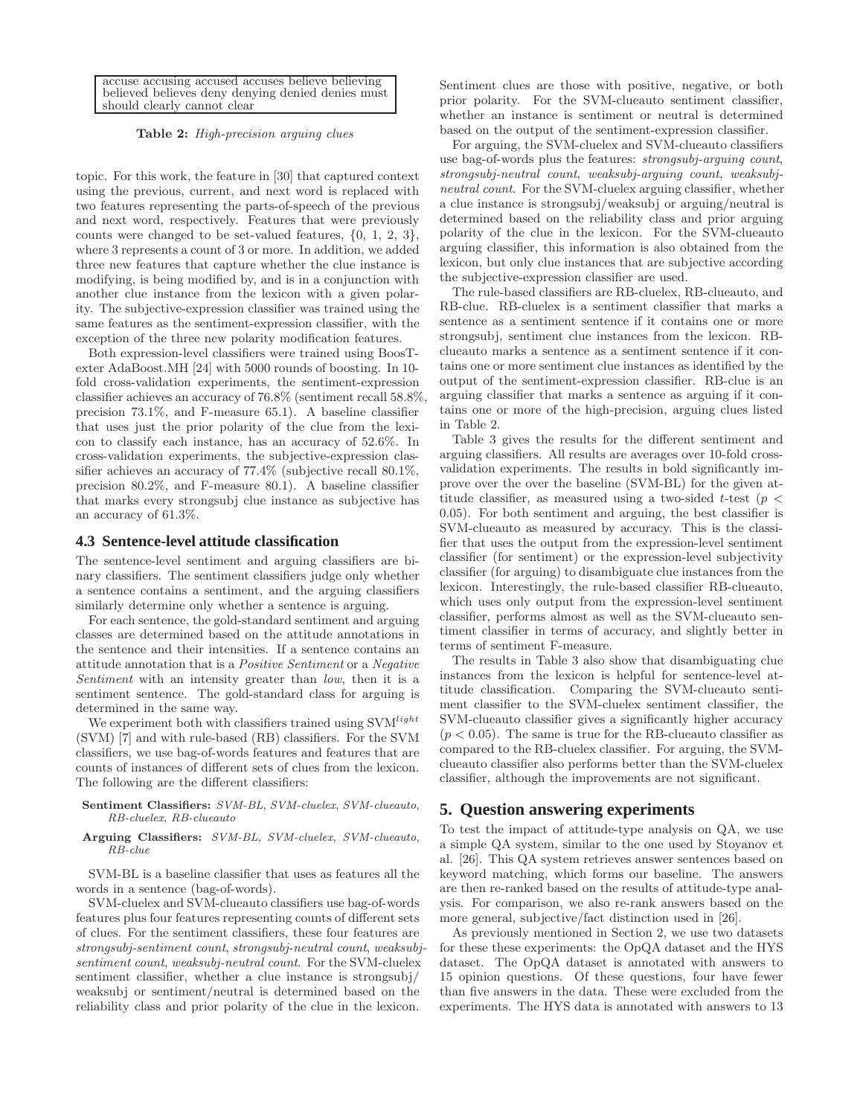accuse accusing accused accuses believe believing believed believes deny denying denied denies must should clearly cannot clear

## Table 2: High-precision arguing clues

topic. For this work, the feature in [30] that captured context using the previous, current, and next word is replaced with two features representing the parts-of-speech of the previous and next word, respectively. Features that were previously counts were changed to be set-valued features, {0, 1, 2, 3}, where 3 represents a count of 3 or more. In addition, we added three new features that capture whether the clue instance is modifying, is being modified by, and is in a conjunction with another clue instance from the lexicon with a given polarity. The subjective-expression classifier was trained using the same features as the sentiment-expression classifier, with the exception of the three new polarity modification features.

Both expression-level classifiers were trained using BoosTexter AdaBoost.MH [24] with 5000 rounds of boosting. In 10 fold cross-validation experiments, the sentiment-expression classifier achieves an accuracy of 76.8% (sentiment recall 58.8%, precision 73.1%, and F-measure 65.1). A baseline classifier that uses just the prior polarity of the clue from the lexicon to classify each instance, has an accuracy of 52.6%. In cross-validation experiments, the subjective-expression classifier achieves an accuracy of 77.4% (subjective recall 80.1%, precision 80.2%, and F-measure 80.1). A baseline classifier that marks every strongsubj clue instance as subjective has an accuracy of 61.3%.

#### **4.3 Sentence-level attitude classification**

The sentence-level sentiment and arguing classifiers are binary classifiers. The sentiment classifiers judge only whether a sentence contains a sentiment, and the arguing classifiers similarly determine only whether a sentence is arguing.

For each sentence, the gold-standard sentiment and arguing classes are determined based on the attitude annotations in the sentence and their intensities. If a sentence contains an attitude annotation that is a Positive Sentiment or a Negative Sentiment with an intensity greater than low, then it is a sentiment sentence. The gold-standard class for arguing is determined in the same way.

We experiment both with classifiers trained using  $\text{SVM}^{light}$ (SVM) [7] and with rule-based (RB) classifiers. For the SVM classifiers, we use bag-of-words features and features that are counts of instances of different sets of clues from the lexicon. The following are the different classifiers:

## Sentiment Classifiers: SVM-BL, SVM-cluelex, SVM-clueauto, RB-cluelex, RB-clueauto

#### Arguing Classifiers: SVM-BL, SVM-cluelex, SVM-clueauto, RB-clue

SVM-BL is a baseline classifier that uses as features all the words in a sentence (bag-of-words).

SVM-cluelex and SVM-clueauto classifiers use bag-of-words features plus four features representing counts of different sets of clues. For the sentiment classifiers, these four features are strongsubj-sentiment count, strongsubj-neutral count, weaksubjsentiment count, weaksubj-neutral count. For the SVM-cluelex sentiment classifier, whether a clue instance is strongsubj/ weaksubj or sentiment/neutral is determined based on the reliability class and prior polarity of the clue in the lexicon.

Sentiment clues are those with positive, negative, or both prior polarity. For the SVM-clueauto sentiment classifier, whether an instance is sentiment or neutral is determined based on the output of the sentiment-expression classifier.

For arguing, the SVM-cluelex and SVM-clueauto classifiers use bag-of-words plus the features: strongsubj-arguing count, strongsubj-neutral count, weaksubj-arguing count, weaksubjneutral count. For the SVM-cluelex arguing classifier, whether a clue instance is strongsubj/weaksubj or arguing/neutral is determined based on the reliability class and prior arguing polarity of the clue in the lexicon. For the SVM-clueauto arguing classifier, this information is also obtained from the lexicon, but only clue instances that are subjective according the subjective-expression classifier are used.

The rule-based classifiers are RB-cluelex, RB-clueauto, and RB-clue. RB-cluelex is a sentiment classifier that marks a sentence as a sentiment sentence if it contains one or more strongsubj, sentiment clue instances from the lexicon. RBclueauto marks a sentence as a sentiment sentence if it contains one or more sentiment clue instances as identified by the output of the sentiment-expression classifier. RB-clue is an arguing classifier that marks a sentence as arguing if it contains one or more of the high-precision, arguing clues listed in Table 2.

Table 3 gives the results for the different sentiment and arguing classifiers. All results are averages over 10-fold crossvalidation experiments. The results in bold significantly improve over the over the baseline (SVM-BL) for the given attitude classifier, as measured using a two-sided t-test ( $p <$ 0.05). For both sentiment and arguing, the best classifier is SVM-clueauto as measured by accuracy. This is the classifier that uses the output from the expression-level sentiment classifier (for sentiment) or the expression-level subjectivity classifier (for arguing) to disambiguate clue instances from the lexicon. Interestingly, the rule-based classifier RB-clueauto, which uses only output from the expression-level sentiment classifier, performs almost as well as the SVM-clueauto sentiment classifier in terms of accuracy, and slightly better in terms of sentiment F-measure.

The results in Table 3 also show that disambiguating clue instances from the lexicon is helpful for sentence-level attitude classification. Comparing the SVM-clueauto sentiment classifier to the SVM-cluelex sentiment classifier, the SVM-clueauto classifier gives a significantly higher accuracy  $(p < 0.05)$ . The same is true for the RB-clueauto classifier as compared to the RB-cluelex classifier. For arguing, the SVMclueauto classifier also performs better than the SVM-cluelex classifier, although the improvements are not significant.

# **5. Question answering experiments**

To test the impact of attitude-type analysis on QA, we use a simple QA system, similar to the one used by Stoyanov et al. [26]. This QA system retrieves answer sentences based on keyword matching, which forms our baseline. The answers are then re-ranked based on the results of attitude-type analysis. For comparison, we also re-rank answers based on the more general, subjective/fact distinction used in [26].

As previously mentioned in Section 2, we use two datasets for these these experiments: the OpQA dataset and the HYS dataset. The OpQA dataset is annotated with answers to 15 opinion questions. Of these questions, four have fewer than five answers in the data. These were excluded from the experiments. The HYS data is annotated with answers to 13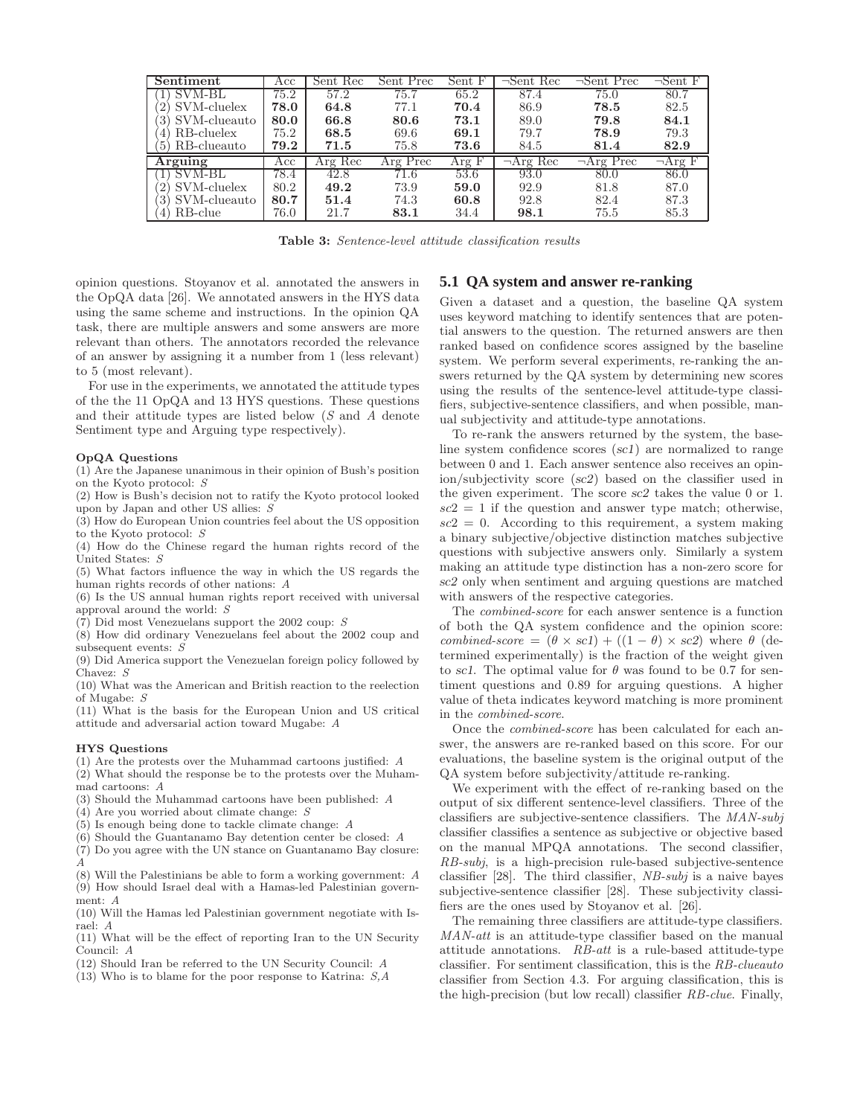| Sentiment         | Acc  | Sent Rec | Sent Prec | Sent F | $\neg$ Sent Rec | $\neg$ Sent Prec | $\neg$ Sent F |
|-------------------|------|----------|-----------|--------|-----------------|------------------|---------------|
| <b>SVM-BL</b>     | 75.2 | 57.2     | 75.7      | 65.2   | 87.4            | 75.0             | 80.7          |
| SVM-cluelex       | 78.0 | 64.8     | 77.1      | 70.4   | 86.9            | 78.5             | 82.5          |
| SVM-clueauto      | 80.0 | 66.8     | 80.6      | 73.1   | 89.0            | 79.8             | 84.1          |
| RB-cluelex<br>41  | 75.2 | 68.5     | 69.6      | 69.1   | 79.7            | 78.9             | 79.3          |
| RB-clueauto<br>5) | 79.2 | 71.5     | 75.8      | 73.6   | 84.5            | 81.4             | 82.9          |
| Arguing           | Acc  | Arg Rec  | Arg Prec  | Arg F  | $\neg$ Arg Rec  | $\neg$ Arg Prec  | $\neg$ Arg F  |
| SVM-BL            | 78.4 | 42.8     | 71.6      | 53.6   | 93.0            | 80.0             | 86.0          |
| SVM-cluelex       | 80.2 | 49.2     | 73.9      | 59.0   | 92.9            | 81.8             | 87.0          |
| SVM-clueauto      | 80.7 | 51.4     | 74.3      | 60.8   | 92.8            | 82.4             | 87.3          |
| RB-clue<br>4)     | 76.0 | 21.7     | 83.1      | 34.4   | 98.1            | 75.5             | 85.3          |

Table 3: Sentence-level attitude classification results

opinion questions. Stoyanov et al. annotated the answers in the OpQA data [26]. We annotated answers in the HYS data using the same scheme and instructions. In the opinion QA task, there are multiple answers and some answers are more relevant than others. The annotators recorded the relevance of an answer by assigning it a number from 1 (less relevant) to 5 (most relevant).

For use in the experiments, we annotated the attitude types of the the 11 OpQA and 13 HYS questions. These questions and their attitude types are listed below (S and A denote Sentiment type and Arguing type respectively).

#### OpQA Questions

(1) Are the Japanese unanimous in their opinion of Bush's position on the Kyoto protocol: S

(2) How is Bush's decision not to ratify the Kyoto protocol looked upon by Japan and other US allies: S

(3) How do European Union countries feel about the US opposition to the Kyoto protocol: S

(4) How do the Chinese regard the human rights record of the United States: S

(5) What factors influence the way in which the US regards the human rights records of other nations: A

(6) Is the US annual human rights report received with universal approval around the world: S

 $(7)$  Did most Venezuelans support the 2002 coup: S

(8) How did ordinary Venezuelans feel about the 2002 coup and subsequent events: S

(9) Did America support the Venezuelan foreign policy followed by Chavez: S

(10) What was the American and British reaction to the reelection of Mugabe: S

(11) What is the basis for the European Union and US critical attitude and adversarial action toward Mugabe: A

#### HYS Questions

(1) Are the protests over the Muhammad cartoons justified: A

(2) What should the response be to the protests over the Muhammad cartoons: A

- (3) Should the Muhammad cartoons have been published: A
- $(4)$  Are you worried about climate change: S
- (5) Is enough being done to tackle climate change: A
- (6) Should the Guantanamo Bay detention center be closed: A
- (7) Do you agree with the UN stance on Guantanamo Bay closure: A

(8) Will the Palestinians be able to form a working government: A (9) How should Israel deal with a Hamas-led Palestinian government: A

(10) Will the Hamas led Palestinian government negotiate with Israel: A

(11) What will be the effect of reporting Iran to the UN Security Council: A

- (12) Should Iran be referred to the UN Security Council: A
- (13) Who is to blame for the poor response to Katrina: S,A

# **5.1 QA system and answer re-ranking**

Given a dataset and a question, the baseline QA system uses keyword matching to identify sentences that are potential answers to the question. The returned answers are then ranked based on confidence scores assigned by the baseline system. We perform several experiments, re-ranking the answers returned by the QA system by determining new scores using the results of the sentence-level attitude-type classifiers, subjective-sentence classifiers, and when possible, manual subjectivity and attitude-type annotations.

To re-rank the answers returned by the system, the baseline system confidence scores (sc1) are normalized to range between 0 and 1. Each answer sentence also receives an opinion/subjectivity score (sc2) based on the classifier used in the given experiment. The score sc2 takes the value 0 or 1.  $\alpha$  sc2 = 1 if the question and answer type match; otherwise,  $\mathit{sc2} = 0$ . According to this requirement, a system making a binary subjective/objective distinction matches subjective questions with subjective answers only. Similarly a system making an attitude type distinction has a non-zero score for sc2 only when sentiment and arguing questions are matched with answers of the respective categories.

The combined-score for each answer sentence is a function of both the QA system confidence and the opinion score: combined-score =  $(\theta \times \textit{sc1}) + ((1 - \theta) \times \textit{sc2})$  where  $\theta$  (determined experimentally) is the fraction of the weight given to sc1. The optimal value for  $\theta$  was found to be 0.7 for sentiment questions and 0.89 for arguing questions. A higher value of theta indicates keyword matching is more prominent in the combined-score.

Once the combined-score has been calculated for each answer, the answers are re-ranked based on this score. For our evaluations, the baseline system is the original output of the QA system before subjectivity/attitude re-ranking.

We experiment with the effect of re-ranking based on the output of six different sentence-level classifiers. Three of the classifiers are subjective-sentence classifiers. The MAN-subj classifier classifies a sentence as subjective or objective based on the manual MPQA annotations. The second classifier, RB-subj, is a high-precision rule-based subjective-sentence classifier [28]. The third classifier, NB-subj is a naive bayes subjective-sentence classifier [28]. These subjectivity classifiers are the ones used by Stoyanov et al. [26].

The remaining three classifiers are attitude-type classifiers. MAN-att is an attitude-type classifier based on the manual attitude annotations. RB-att is a rule-based attitude-type classifier. For sentiment classification, this is the RB-clueauto classifier from Section 4.3. For arguing classification, this is the high-precision (but low recall) classifier RB-clue. Finally,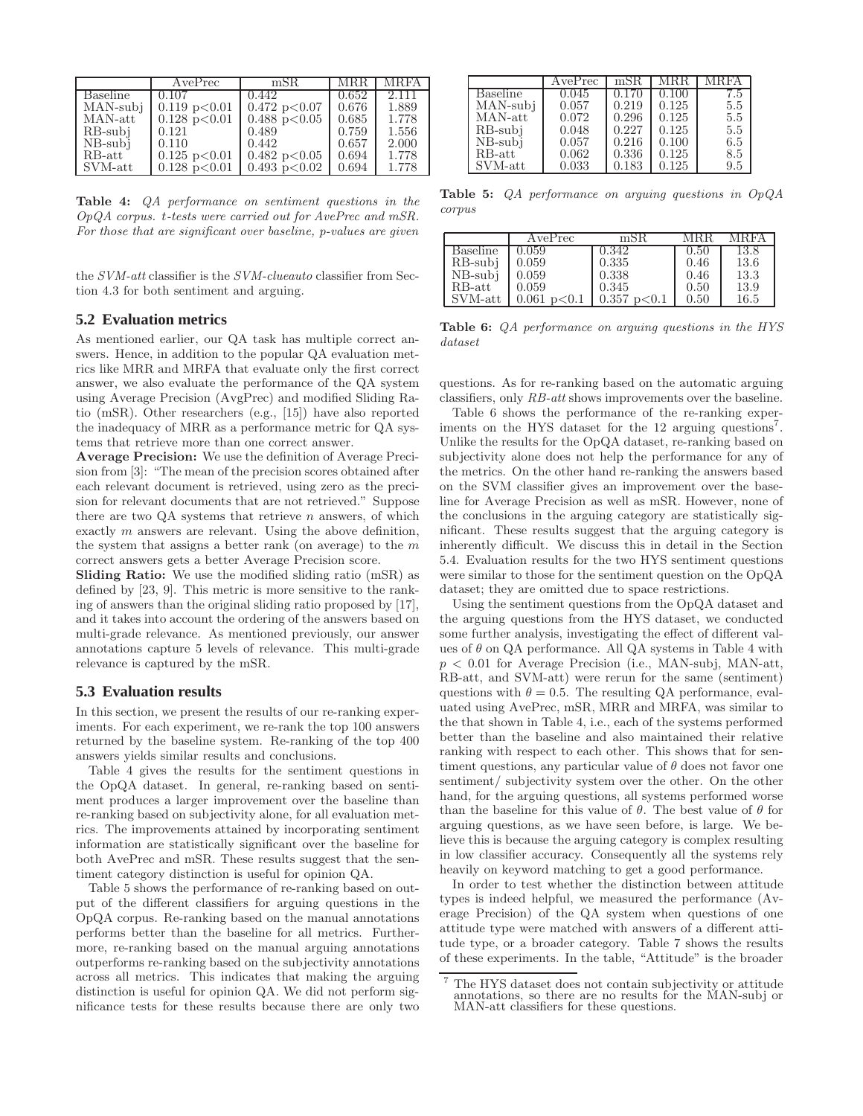|                 | AvePrec                  | mSR                      | <b>MRR</b> | <b>MRFA</b> |
|-----------------|--------------------------|--------------------------|------------|-------------|
| <b>Baseline</b> | 0.107                    | 0.442                    | 0.652      | 2.111       |
| MAN-subj        | $0.119$ p $< 0.01$       | 0.472 p < 0.07           | 0.676      | 1.889       |
| MAN-att         | $0.128 \text{ p} < 0.01$ | $0.488 \text{ p} < 0.05$ | 0.685      | 1.778       |
| RB-subi         | 0.121                    | 0.489                    | 0.759      | 1.556       |
| NB-subi         | 0.110                    | 0.442                    | 0.657      | 2.000       |
| RB-att          | $0.125$ p $< 0.01$       | $0.482 \text{ p} < 0.05$ | 0.694      | 1.778       |
| SVM-att         | $0.128 \text{ p} < 0.01$ | $0.493$ p $< 0.02$       | 0.694      | 1.778       |

Table 4: QA performance on sentiment questions in the OpQA corpus. t-tests were carried out for AvePrec and mSR. For those that are significant over baseline, p-values are given

the SVM-att classifier is the SVM-clueauto classifier from Section 4.3 for both sentiment and arguing.

# **5.2 Evaluation metrics**

As mentioned earlier, our QA task has multiple correct answers. Hence, in addition to the popular QA evaluation metrics like MRR and MRFA that evaluate only the first correct answer, we also evaluate the performance of the QA system using Average Precision (AvgPrec) and modified Sliding Ratio (mSR). Other researchers (e.g., [15]) have also reported the inadequacy of MRR as a performance metric for QA systems that retrieve more than one correct answer.

Average Precision: We use the definition of Average Precision from [3]: "The mean of the precision scores obtained after each relevant document is retrieved, using zero as the precision for relevant documents that are not retrieved." Suppose there are two  $QA$  systems that retrieve n answers, of which exactly m answers are relevant. Using the above definition, the system that assigns a better rank (on average) to the  $m$ correct answers gets a better Average Precision score.

Sliding Ratio: We use the modified sliding ratio (mSR) as defined by [23, 9]. This metric is more sensitive to the ranking of answers than the original sliding ratio proposed by [17], and it takes into account the ordering of the answers based on multi-grade relevance. As mentioned previously, our answer annotations capture 5 levels of relevance. This multi-grade relevance is captured by the mSR.

# **5.3 Evaluation results**

In this section, we present the results of our re-ranking experiments. For each experiment, we re-rank the top 100 answers returned by the baseline system. Re-ranking of the top 400 answers yields similar results and conclusions.

Table 4 gives the results for the sentiment questions in the OpQA dataset. In general, re-ranking based on sentiment produces a larger improvement over the baseline than re-ranking based on subjectivity alone, for all evaluation metrics. The improvements attained by incorporating sentiment information are statistically significant over the baseline for both AvePrec and mSR. These results suggest that the sentiment category distinction is useful for opinion QA.

Table 5 shows the performance of re-ranking based on output of the different classifiers for arguing questions in the OpQA corpus. Re-ranking based on the manual annotations performs better than the baseline for all metrics. Furthermore, re-ranking based on the manual arguing annotations outperforms re-ranking based on the subjectivity annotations across all metrics. This indicates that making the arguing distinction is useful for opinion QA. We did not perform significance tests for these results because there are only two

|                | AvePrec | mSR.  | M K.K | MRFA |
|----------------|---------|-------|-------|------|
| Baseline       | 0.045   | 0.170 | 0.100 | 7.5  |
| MAN-subj       | 0.057   | 0.219 | 0.125 | 5.5  |
| MAN-att        | 0.072   | 0.296 | 0.125 | 5.5  |
| RB-subi        | 0.048   | 0.227 | 0.125 | 5.5  |
| $NB$ - $sub$ j | 0.057   | 0.216 | 0.100 | 6.5  |
| RB-att         | 0.062   | 0.336 | 0.125 | 8.5  |
| SVM-att        | 0.033   | 0.183 | 0.125 | 9.5  |

**Table 5:** QA performance on arguing questions in OpQA corpus

|            | AvePrec        | mSR                    | MRR  | MRFA |
|------------|----------------|------------------------|------|------|
| Baseline   | 0.059          | 0.342                  | 0.50 | 13.8 |
| RB-subj    | 0.059          | 0.335                  | 0.46 | 13.6 |
| $NB$ -subj | 0.059          | 0.338                  | 0.46 | 13.3 |
| $RB$ -att  | 0.059          | 0.345                  | 0.50 | 13.9 |
| SVM-att    | 0.061<br>p<0.1 | $0.357~\text{p}$ < 0.1 | 0.50 | 16.5 |

Table 6: QA performance on arguing questions in the HYS dataset

questions. As for re-ranking based on the automatic arguing classifiers, only RB-att shows improvements over the baseline.

Table 6 shows the performance of the re-ranking experiments on the HYS dataset for the 12 arguing questions<sup>7</sup>. Unlike the results for the OpQA dataset, re-ranking based on subjectivity alone does not help the performance for any of the metrics. On the other hand re-ranking the answers based on the SVM classifier gives an improvement over the baseline for Average Precision as well as mSR. However, none of the conclusions in the arguing category are statistically significant. These results suggest that the arguing category is inherently difficult. We discuss this in detail in the Section 5.4. Evaluation results for the two HYS sentiment questions were similar to those for the sentiment question on the OpQA dataset; they are omitted due to space restrictions.

Using the sentiment questions from the OpQA dataset and the arguing questions from the HYS dataset, we conducted some further analysis, investigating the effect of different values of  $\theta$  on QA performance. All QA systems in Table 4 with  $p < 0.01$  for Average Precision (i.e., MAN-subj, MAN-att, RB-att, and SVM-att) were rerun for the same (sentiment) questions with  $\theta = 0.5$ . The resulting QA performance, evaluated using AvePrec, mSR, MRR and MRFA, was similar to the that shown in Table 4, i.e., each of the systems performed better than the baseline and also maintained their relative ranking with respect to each other. This shows that for sentiment questions, any particular value of  $\theta$  does not favor one sentiment/ subjectivity system over the other. On the other hand, for the arguing questions, all systems performed worse than the baseline for this value of  $\theta$ . The best value of  $\theta$  for arguing questions, as we have seen before, is large. We believe this is because the arguing category is complex resulting in low classifier accuracy. Consequently all the systems rely heavily on keyword matching to get a good performance.

In order to test whether the distinction between attitude types is indeed helpful, we measured the performance (Average Precision) of the QA system when questions of one attitude type were matched with answers of a different attitude type, or a broader category. Table 7 shows the results of these experiments. In the table, "Attitude" is the broader

<sup>7</sup> The HYS dataset does not contain subjectivity or attitude annotations, so there are no results for the MAN-subj or MAN-att classifiers for these questions.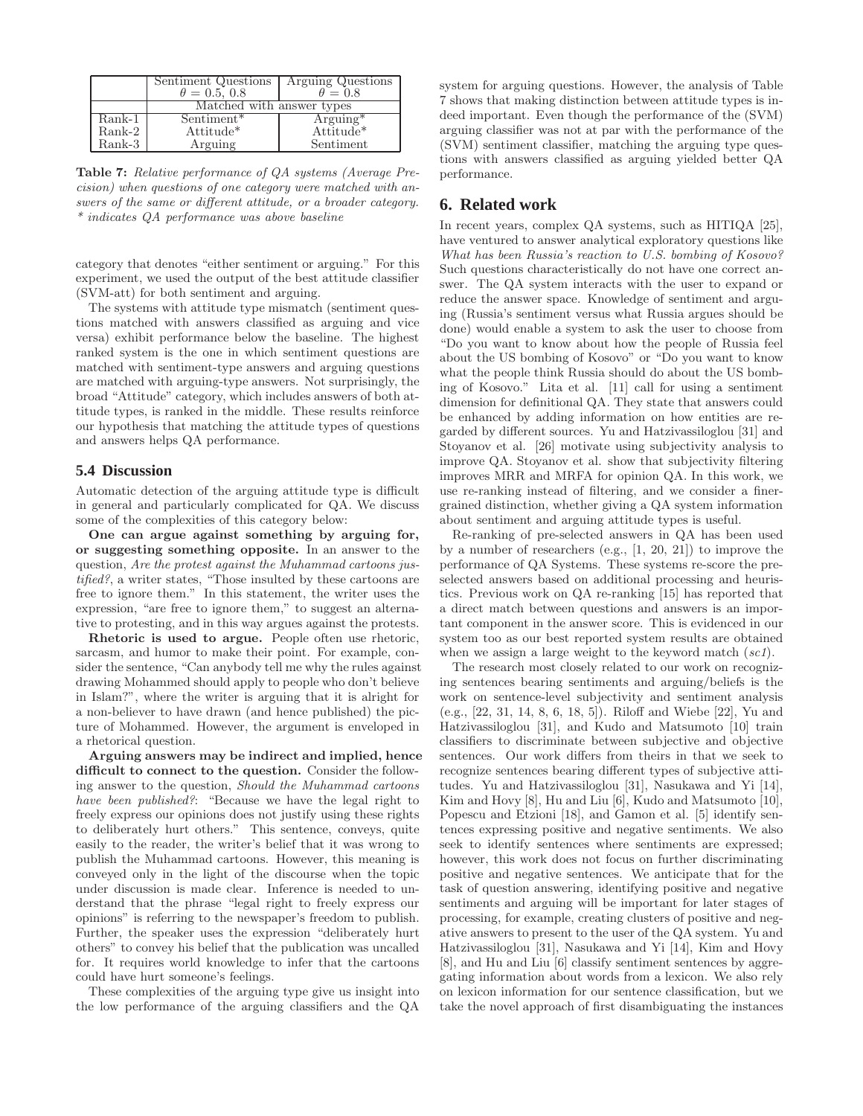|                       | Sentiment Questions<br>$\theta = 0.5, 0.8$ | Arguing Questions<br>$\theta = 0.8$ |
|-----------------------|--------------------------------------------|-------------------------------------|
|                       | Matched with answer types                  |                                     |
| Rank-1                | Sentiment <sup>*</sup>                     | $\text{Arguing}^*$                  |
| $Rank-2$              | Attitude*                                  | $Attitude*$                         |
| $\rm{Rank{\text -}3}$ | Arguing                                    | Sentiment                           |

Table 7: Relative performance of QA systems (Average Precision) when questions of one category were matched with answers of the same or different attitude, or a broader category. \* indicates QA performance was above baseline

category that denotes "either sentiment or arguing." For this experiment, we used the output of the best attitude classifier (SVM-att) for both sentiment and arguing.

The systems with attitude type mismatch (sentiment questions matched with answers classified as arguing and vice versa) exhibit performance below the baseline. The highest ranked system is the one in which sentiment questions are matched with sentiment-type answers and arguing questions are matched with arguing-type answers. Not surprisingly, the broad "Attitude" category, which includes answers of both attitude types, is ranked in the middle. These results reinforce our hypothesis that matching the attitude types of questions and answers helps QA performance.

# **5.4 Discussion**

Automatic detection of the arguing attitude type is difficult in general and particularly complicated for QA. We discuss some of the complexities of this category below:

One can argue against something by arguing for, or suggesting something opposite. In an answer to the question, Are the protest against the Muhammad cartoons justified?, a writer states, "Those insulted by these cartoons are free to ignore them." In this statement, the writer uses the expression, "are free to ignore them," to suggest an alternative to protesting, and in this way argues against the protests.

Rhetoric is used to argue. People often use rhetoric, sarcasm, and humor to make their point. For example, consider the sentence, "Can anybody tell me why the rules against drawing Mohammed should apply to people who don't believe in Islam?", where the writer is arguing that it is alright for a non-believer to have drawn (and hence published) the picture of Mohammed. However, the argument is enveloped in a rhetorical question.

Arguing answers may be indirect and implied, hence difficult to connect to the question. Consider the following answer to the question, Should the Muhammad cartoons have been published?: "Because we have the legal right to freely express our opinions does not justify using these rights to deliberately hurt others." This sentence, conveys, quite easily to the reader, the writer's belief that it was wrong to publish the Muhammad cartoons. However, this meaning is conveyed only in the light of the discourse when the topic under discussion is made clear. Inference is needed to understand that the phrase "legal right to freely express our opinions" is referring to the newspaper's freedom to publish. Further, the speaker uses the expression "deliberately hurt others" to convey his belief that the publication was uncalled for. It requires world knowledge to infer that the cartoons could have hurt someone's feelings.

These complexities of the arguing type give us insight into the low performance of the arguing classifiers and the QA system for arguing questions. However, the analysis of Table 7 shows that making distinction between attitude types is indeed important. Even though the performance of the (SVM) arguing classifier was not at par with the performance of the (SVM) sentiment classifier, matching the arguing type questions with answers classified as arguing yielded better QA performance.

# **6. Related work**

In recent years, complex QA systems, such as HITIQA [25], have ventured to answer analytical exploratory questions like What has been Russia's reaction to U.S. bombing of Kosovo? Such questions characteristically do not have one correct answer. The QA system interacts with the user to expand or reduce the answer space. Knowledge of sentiment and arguing (Russia's sentiment versus what Russia argues should be done) would enable a system to ask the user to choose from "Do you want to know about how the people of Russia feel about the US bombing of Kosovo" or "Do you want to know what the people think Russia should do about the US bombing of Kosovo." Lita et al. [11] call for using a sentiment dimension for definitional QA. They state that answers could be enhanced by adding information on how entities are regarded by different sources. Yu and Hatzivassiloglou [31] and Stoyanov et al. [26] motivate using subjectivity analysis to improve QA. Stoyanov et al. show that subjectivity filtering improves MRR and MRFA for opinion QA. In this work, we use re-ranking instead of filtering, and we consider a finergrained distinction, whether giving a QA system information about sentiment and arguing attitude types is useful.

Re-ranking of pre-selected answers in QA has been used by a number of researchers (e.g., [1, 20, 21]) to improve the performance of QA Systems. These systems re-score the preselected answers based on additional processing and heuristics. Previous work on QA re-ranking [15] has reported that a direct match between questions and answers is an important component in the answer score. This is evidenced in our system too as our best reported system results are obtained when we assign a large weight to the keyword match  $(scl)$ .

The research most closely related to our work on recognizing sentences bearing sentiments and arguing/beliefs is the work on sentence-level subjectivity and sentiment analysis (e.g., [22, 31, 14, 8, 6, 18, 5]). Riloff and Wiebe [22], Yu and Hatzivassiloglou [31], and Kudo and Matsumoto [10] train classifiers to discriminate between subjective and objective sentences. Our work differs from theirs in that we seek to recognize sentences bearing different types of subjective attitudes. Yu and Hatzivassiloglou [31], Nasukawa and Yi [14], Kim and Hovy [8], Hu and Liu [6], Kudo and Matsumoto [10], Popescu and Etzioni [18], and Gamon et al. [5] identify sentences expressing positive and negative sentiments. We also seek to identify sentences where sentiments are expressed; however, this work does not focus on further discriminating positive and negative sentences. We anticipate that for the task of question answering, identifying positive and negative sentiments and arguing will be important for later stages of processing, for example, creating clusters of positive and negative answers to present to the user of the QA system. Yu and Hatzivassiloglou [31], Nasukawa and Yi [14], Kim and Hovy [8], and Hu and Liu [6] classify sentiment sentences by aggregating information about words from a lexicon. We also rely on lexicon information for our sentence classification, but we take the novel approach of first disambiguating the instances